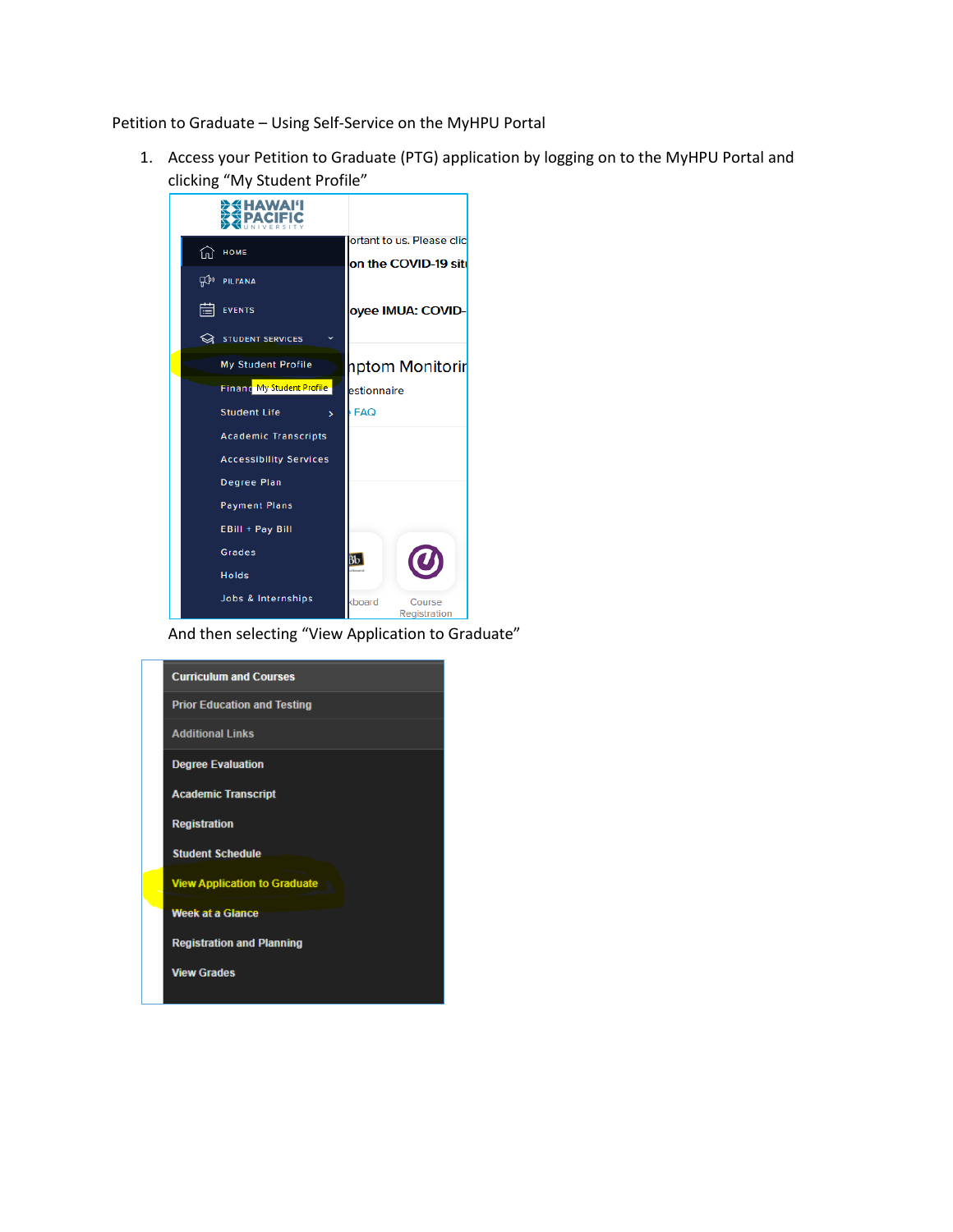Petition to Graduate – Using Self-Service on the MyHPU Portal

1. Access your Petition to Graduate (PTG) application by logging on to the MyHPU Portal and clicking "My Student Profile"



And then selecting "View Application to Graduate"

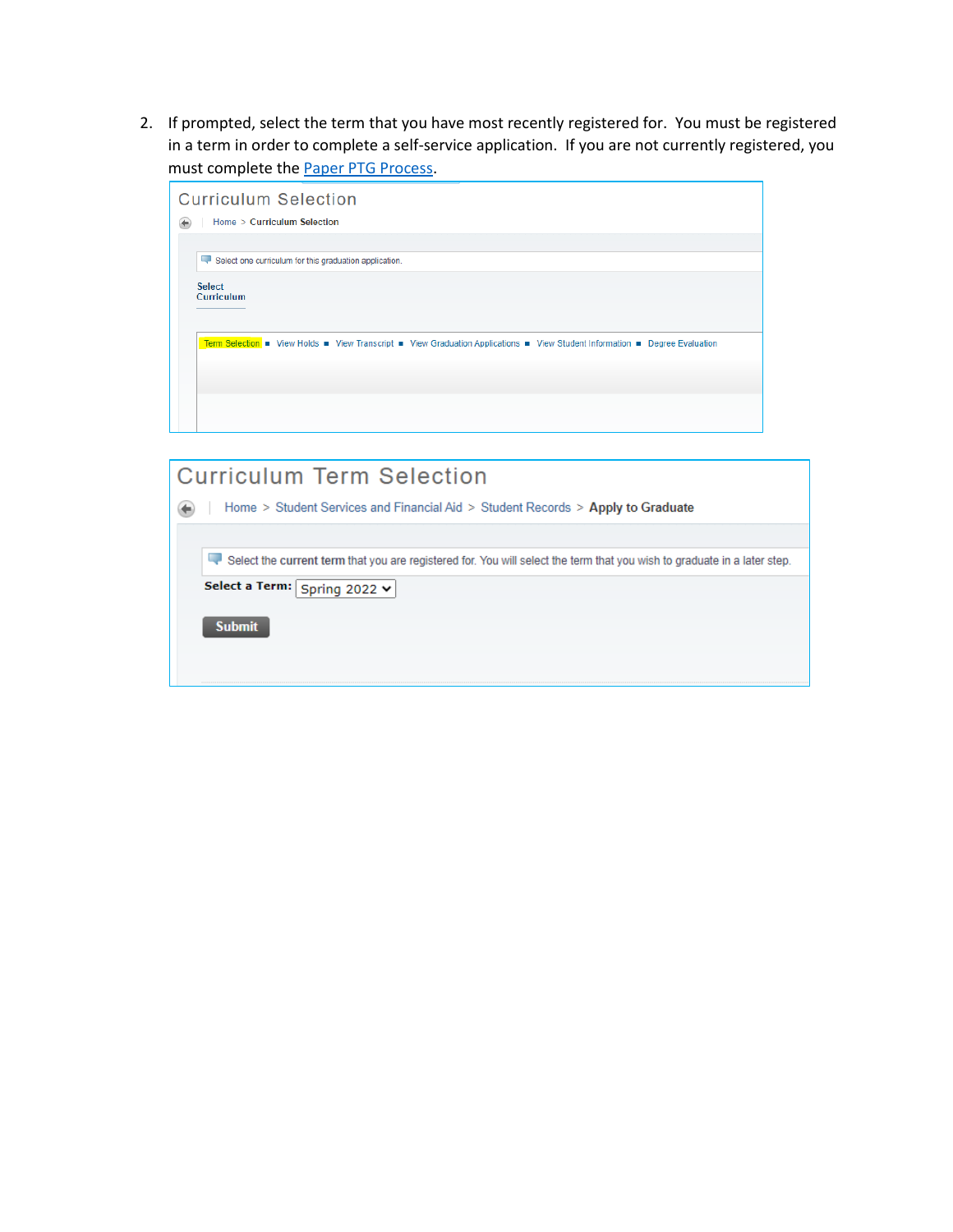2. If prompted, select the term that you have most recently registered for. You must be registered in a term in order to complete a self-service application. If you are not currently registered, you must complete the **Paper PTG Process**.



| <b>Curriculum Term Selection</b>                                                                                         |
|--------------------------------------------------------------------------------------------------------------------------|
| Home > Student Services and Financial Aid > Student Records > Apply to Graduate                                          |
|                                                                                                                          |
| Select the current term that you are registered for. You will select the term that you wish to graduate in a later step. |
| Select a Term: Spring 2022 v                                                                                             |
| <b>Submit</b>                                                                                                            |
|                                                                                                                          |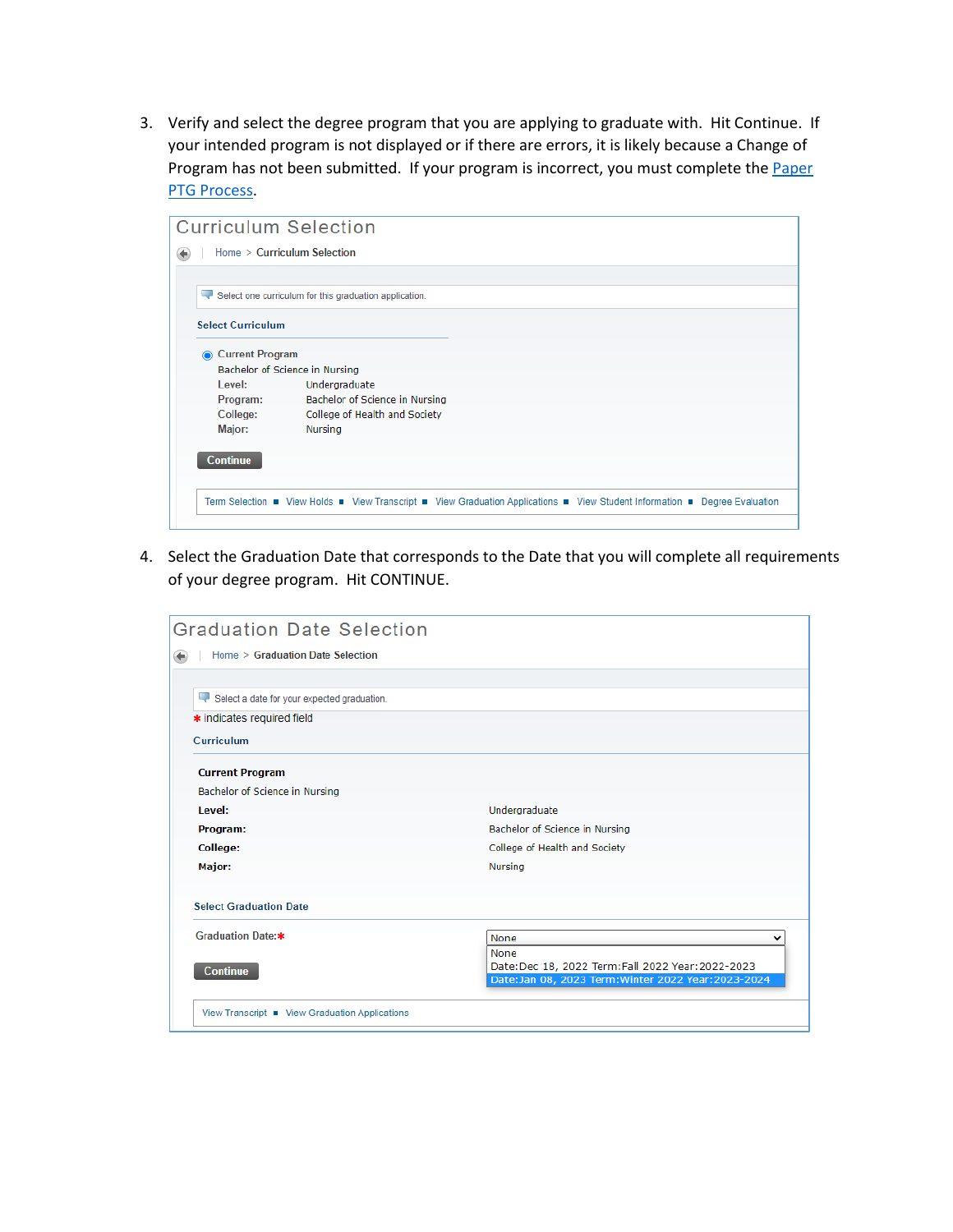3. Verify and select the degree program that you are applying to graduate with. Hit Continue. If your intended program is not displayed or if there are errors, it is likely because a Change of Program has not been submitted. If your program is incorrect, you must complete the Paper [PTG Process.](https://www.hpu.edu/registrar/academic-forms.html)

| <b>Curriculum Selection</b> |                                                                                                                             |
|-----------------------------|-----------------------------------------------------------------------------------------------------------------------------|
|                             | Home > Curriculum Selection                                                                                                 |
|                             |                                                                                                                             |
|                             | Select one curriculum for this graduation application.                                                                      |
| <b>Select Curriculum</b>    |                                                                                                                             |
| <b>Current Program</b><br>⋒ |                                                                                                                             |
|                             | Bachelor of Science in Nursing                                                                                              |
| Level:                      | Undergraduate                                                                                                               |
| Program:                    | Bachelor of Science in Nursing                                                                                              |
| College:                    | College of Health and Society                                                                                               |
| Major:                      | Nursing                                                                                                                     |
|                             |                                                                                                                             |
| <b>Continue</b>             |                                                                                                                             |
|                             |                                                                                                                             |
|                             | Term Selection · View Holds · View Transcript · View Graduation Applications · View Student Information · Degree Evaluation |
|                             |                                                                                                                             |

4. Select the Graduation Date that corresponds to the Date that you will complete all requirements of your degree program. Hit CONTINUE.

| <b>Graduation Date Selection</b>               |                                                                                                        |
|------------------------------------------------|--------------------------------------------------------------------------------------------------------|
| Home > Graduation Date Selection               |                                                                                                        |
|                                                |                                                                                                        |
| Select a date for your expected graduation.    |                                                                                                        |
| * indicates required field                     |                                                                                                        |
| Curriculum                                     |                                                                                                        |
| <b>Current Program</b>                         |                                                                                                        |
| Bachelor of Science in Nursing                 |                                                                                                        |
| Level:                                         | Undergraduate                                                                                          |
| Program:                                       | Bachelor of Science in Nursing                                                                         |
| College:                                       | College of Health and Society                                                                          |
| Major:                                         | Nursing                                                                                                |
| <b>Select Graduation Date</b>                  |                                                                                                        |
| Graduation Date:*                              | <b>None</b><br>None                                                                                    |
| <b>Continue</b>                                | Date:Dec 18, 2022 Term:Fall 2022 Year:2022-2023<br>Date:Jan 08, 2023 Term: Winter 2022 Year: 2023-2024 |
| View Transcript • View Graduation Applications |                                                                                                        |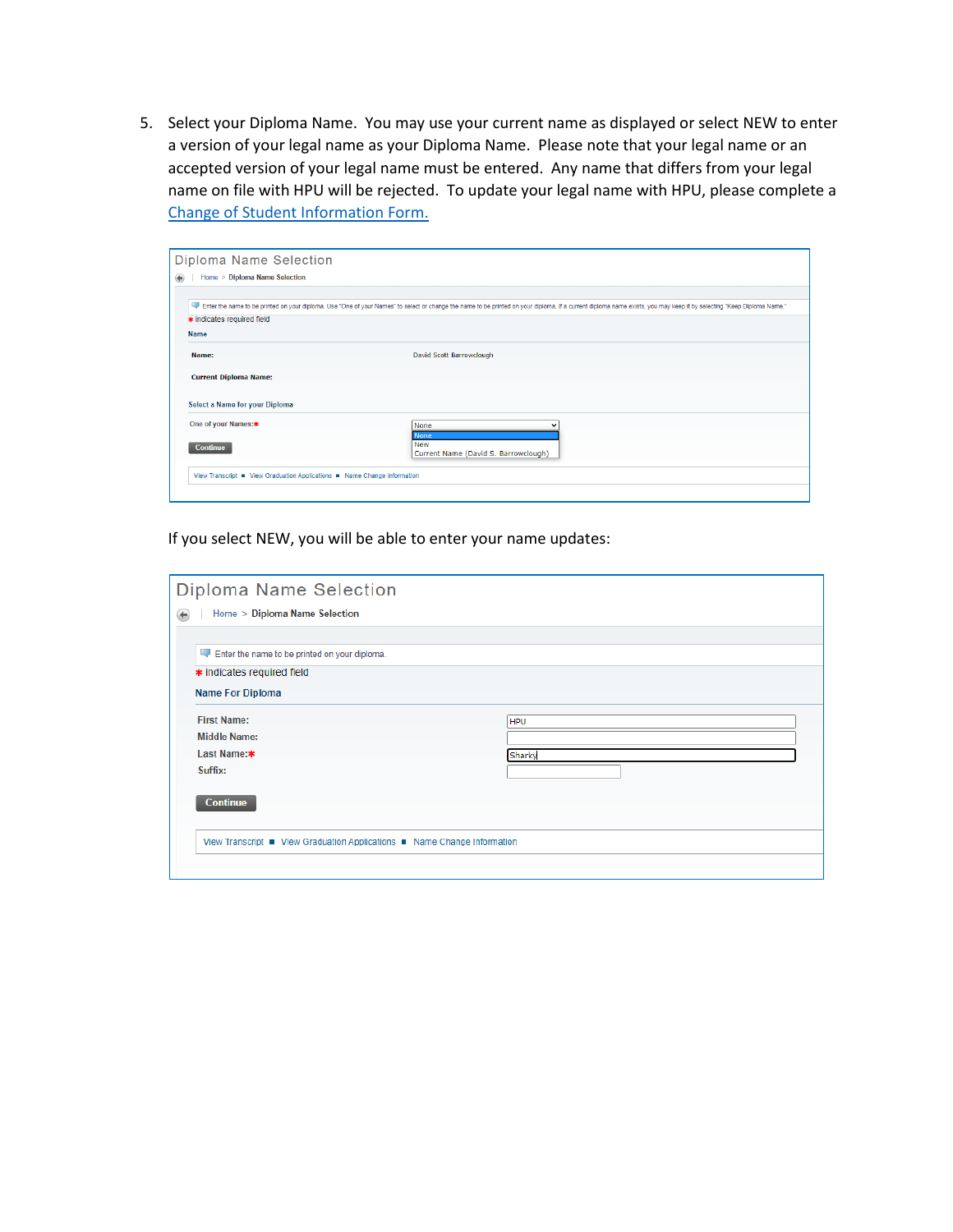5. Select your Diploma Name. You may use your current name as displayed or select NEW to enter a version of your legal name as your Diploma Name. Please note that your legal name or an accepted version of your legal name must be entered. Any name that differs from your legal name on file with HPU will be rejected. To update your legal name with HPU, please complete a [Change of Student Information Form.](https://www.hpu.edu/registrar/files/student-information-change-form.pdf)

| Diploma Name Selection                                                   |                                                                                                                                                                                                                       |
|--------------------------------------------------------------------------|-----------------------------------------------------------------------------------------------------------------------------------------------------------------------------------------------------------------------|
| Home > Diploma Name Selection                                            |                                                                                                                                                                                                                       |
|                                                                          |                                                                                                                                                                                                                       |
|                                                                          | Firer the name to be printed on your diploma. Use "One of your Names" to select or change the name to be printed on your diploma. If a current diploma name exists, you may keep it by selecting "Keep Diploma Name." |
| * indicates required field                                               |                                                                                                                                                                                                                       |
| <b>Name</b>                                                              |                                                                                                                                                                                                                       |
| Name:                                                                    | David Scott Barrowclough                                                                                                                                                                                              |
| <b>Current Diploma Name:</b>                                             |                                                                                                                                                                                                                       |
| Select a Name for your Diploma                                           |                                                                                                                                                                                                                       |
| One of your Names:*                                                      | <b>None</b>                                                                                                                                                                                                           |
| <b>Continue</b>                                                          | <b>None</b><br><b>New</b><br>Current Name (David S. Barrowclough)                                                                                                                                                     |
|                                                                          |                                                                                                                                                                                                                       |
| View Transcript • View Graduation Applications • Name Change Information |                                                                                                                                                                                                                       |

If you select NEW, you will be able to enter your name updates:

| Diploma Name Selection                                                   |            |
|--------------------------------------------------------------------------|------------|
| Home > Diploma Name Selection<br>€                                       |            |
|                                                                          |            |
| Enter the name to be printed on your diploma.                            |            |
| * indicates required field                                               |            |
| <b>Name For Diploma</b>                                                  |            |
| <b>First Name:</b>                                                       | <b>HPU</b> |
| <b>Middle Name:</b>                                                      |            |
| Last Name:*                                                              | Sharky     |
| Suffix:                                                                  |            |
|                                                                          |            |
| <b>Continue</b>                                                          |            |
|                                                                          |            |
| View Transcript • View Graduation Applications • Name Change Information |            |
|                                                                          |            |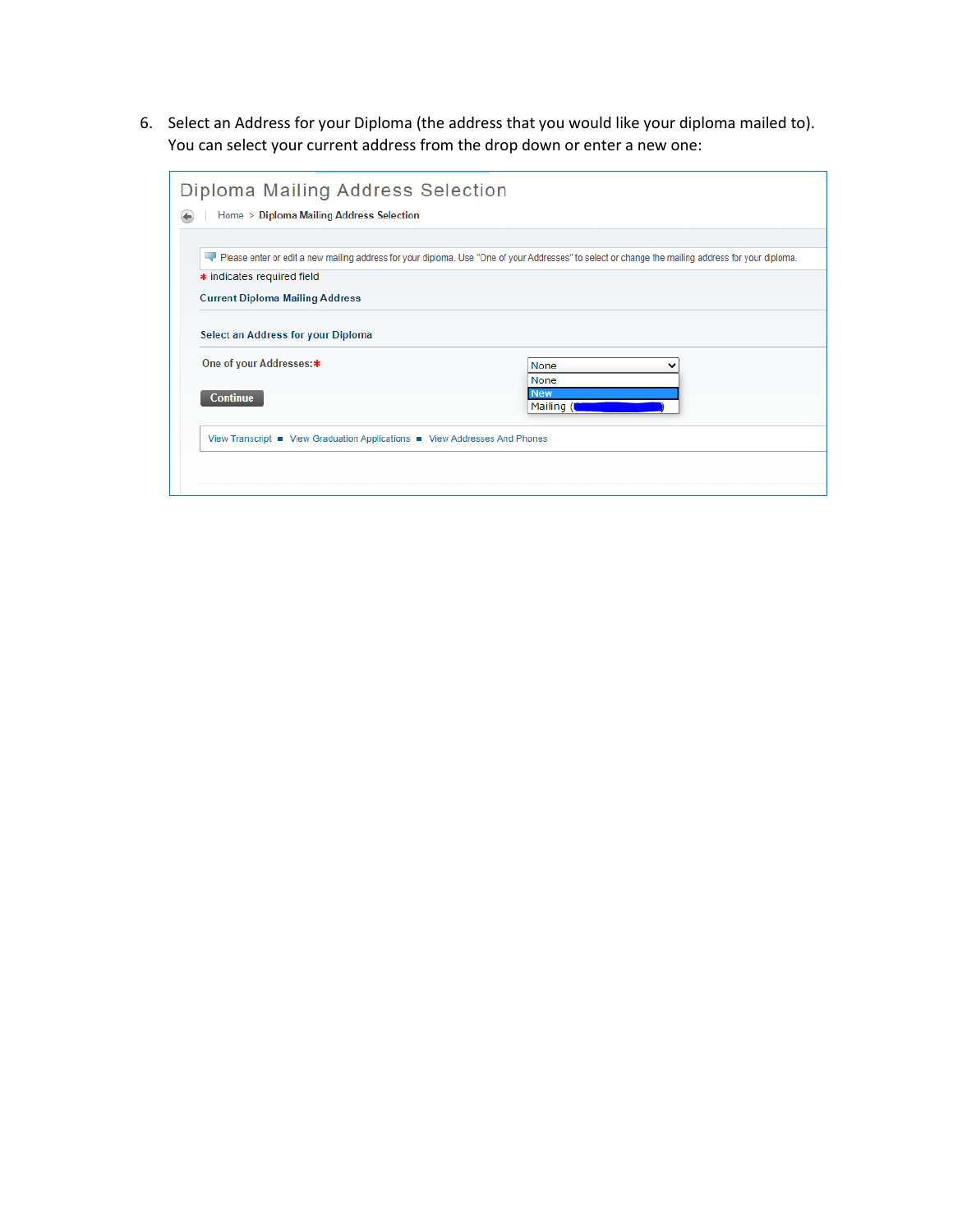6. Select an Address for your Diploma (the address that you would like your diploma mailed to). You can select your current address from the drop down or enter a new one:

| Diploma Mailing Address Selection                                                                                                                  |                          |
|----------------------------------------------------------------------------------------------------------------------------------------------------|--------------------------|
| Home > Diploma Mailing Address Selection                                                                                                           |                          |
|                                                                                                                                                    |                          |
| Please enter or edit a new mailing address for your diploma. Use "One of your Addresses" to select or change the mailing address for your diploma. |                          |
| * indicates required field                                                                                                                         |                          |
| <b>Current Diploma Mailing Address</b>                                                                                                             |                          |
| Select an Address for your Diploma                                                                                                                 |                          |
| One of your Addresses:*                                                                                                                            | None<br>None             |
| <b>Continue</b>                                                                                                                                    | <b>New</b><br>Mailing (I |
| View Transcript ■ View Graduation Applications ■ View Addresses And Phones                                                                         |                          |
|                                                                                                                                                    |                          |
|                                                                                                                                                    |                          |